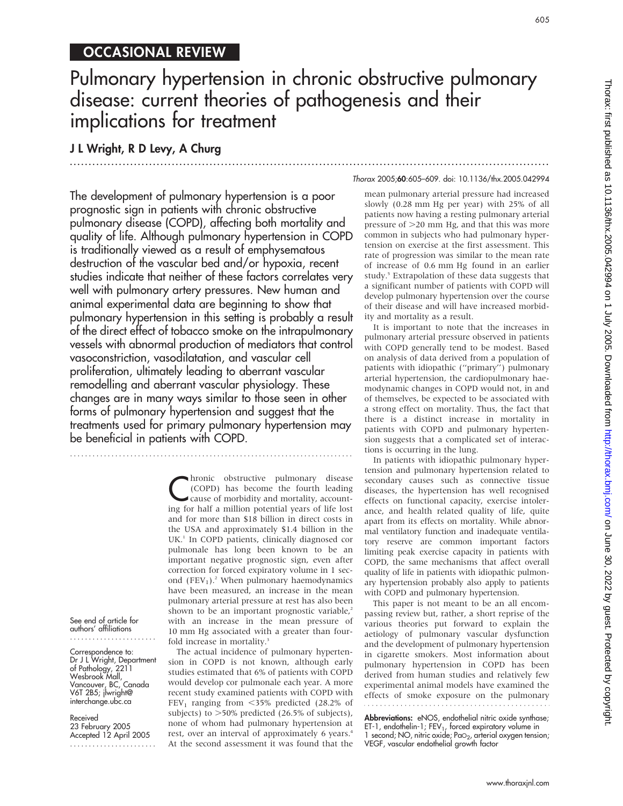## OCCASIONAL REVIEW

# Pulmonary hypertension in chronic obstructive pulmonary disease: current theories of pathogenesis and their implications for treatment

## J L Wright, R D Levy, A Churg

...............................................................................................................................

Thorax 2005;60:605–609. doi: 10.1136/thx.2005.042994

The development of pulmonary hypertension is a poor prognostic sign in patients with chronic obstructive pulmonary disease (COPD), affecting both mortality and quality of life. Although pulmonary hypertension in COPD is traditionally viewed as a result of emphysematous destruction of the vascular bed and/or hypoxia, recent studies indicate that neither of these factors correlates very well with pulmonary artery pressures. New human and animal experimental data are beginning to show that pulmonary hypertension in this setting is probably a result of the direct effect of tobacco smoke on the intrapulmonary vessels with abnormal production of mediators that control vasoconstriction, vasodilatation, and vascular cell proliferation, ultimately leading to aberrant vascular remodelling and aberrant vascular physiology. These changes are in many ways similar to those seen in other forms of pulmonary hypertension and suggest that the treatments used for primary pulmonary hypertension may be beneficial in patients with COPD.

...........................................................................

**C**hronic obstructive pulmonary disease<br>
(COPD) has become the fourth leading<br>
cause of morbidity and mortality, account-<br>
ing for half a million potential ways of life last (COPD) has become the fourth leading ing for half a million potential years of life lost and for more than \$18 billion in direct costs in the USA and approximately \$1.4 billion in the UK.<sup>1</sup> In COPD patients, clinically diagnosed cor pulmonale has long been known to be an important negative prognostic sign, even after correction for forced expiratory volume in 1 second  $(FEV<sub>1</sub>)$ .<sup>2</sup> When pulmonary haemodynamics have been measured, an increase in the mean pulmonary arterial pressure at rest has also been shown to be an important prognostic variable, $\lambda$ with an increase in the mean pressure of 10 mm Hg associated with a greater than fourfold increase in mortality.<sup>3</sup>

The actual incidence of pulmonary hypertension in COPD is not known, although early studies estimated that 6% of patients with COPD would develop cor pulmonale each year. A more recent study examined patients with COPD with  $FEV<sub>1</sub>$  ranging from <35% predicted (28.2% of subjects) to  $>50\%$  predicted (26.5% of subjects), none of whom had pulmonary hypertension at rest, over an interval of approximately 6 years.<sup>4</sup> At the second assessment it was found that the mean pulmonary arterial pressure had increased slowly (0.28 mm Hg per year) with 25% of all patients now having a resting pulmonary arterial pressure of  $>$ 20 mm Hg, and that this was more common in subjects who had pulmonary hypertension on exercise at the first assessment. This rate of progression was similar to the mean rate of increase of 0.6 mm Hg found in an earlier study.<sup>5</sup> Extrapolation of these data suggests that a significant number of patients with COPD will develop pulmonary hypertension over the course of their disease and will have increased morbidity and mortality as a result.

It is important to note that the increases in pulmonary arterial pressure observed in patients with COPD generally tend to be modest. Based on analysis of data derived from a population of patients with idiopathic (''primary'') pulmonary arterial hypertension, the cardiopulmonary haemodynamic changes in COPD would not, in and of themselves, be expected to be associated with a strong effect on mortality. Thus, the fact that there is a distinct increase in mortality in patients with COPD and pulmonary hypertension suggests that a complicated set of interactions is occurring in the lung.

In patients with idiopathic pulmonary hypertension and pulmonary hypertension related to secondary causes such as connective tissue diseases, the hypertension has well recognised effects on functional capacity, exercise intolerance, and health related quality of life, quite apart from its effects on mortality. While abnormal ventilatory function and inadequate ventilatory reserve are common important factors limiting peak exercise capacity in patients with COPD, the same mechanisms that affect overall quality of life in patients with idiopathic pulmonary hypertension probably also apply to patients with COPD and pulmonary hypertension.

This paper is not meant to be an all encompassing review but, rather, a short reprise of the various theories put forward to explain the aetiology of pulmonary vascular dysfunction and the development of pulmonary hypertension in cigarette smokers. Most information about pulmonary hypertension in COPD has been derived from human studies and relatively few experimental animal models have examined the effects of smoke exposure on the pulmonary

Abbreviations: eNOS, endothelial nitric oxide synthase; ET-1, endothelin-1; FEV<sub>1</sub>, forced expiratory volume in 1 second; NO, nitric oxide; PaO<sub>2</sub>, arterial oxygen tension; VEGF, vascular endothelial growth factor

See end of article for authors' affiliations .......................

Correspondence to: Dr J L Wright, Department of Pathology, 2211 Wesbrook Mall, Vancouver, BC, Canada V6T 2B5; jlwright@ interchange.ubc.ca

Received 23 February 2005 Accepted 12 April 2005 .......................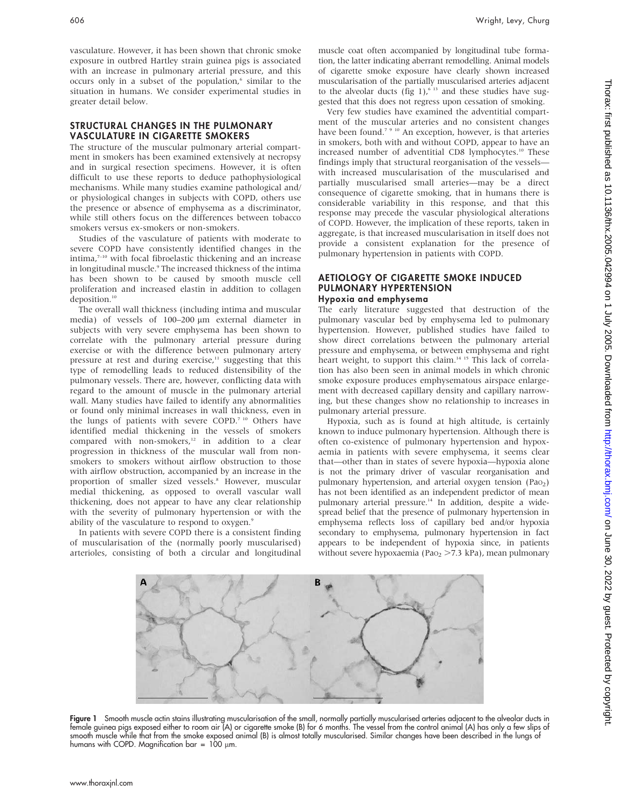vasculature. However, it has been shown that chronic smoke exposure in outbred Hartley strain guinea pigs is associated with an increase in pulmonary arterial pressure, and this occurs only in a subset of the population,<sup>6</sup> similar to the situation in humans. We consider experimental studies in greater detail below.

#### STRUCTURAL CHANGES IN THE PULMONARY VASCULATURE IN CIGARETTE SMOKERS

The structure of the muscular pulmonary arterial compartment in smokers has been examined extensively at necropsy and in surgical resection specimens. However, it is often difficult to use these reports to deduce pathophysiological mechanisms. While many studies examine pathological and/ or physiological changes in subjects with COPD, others use the presence or absence of emphysema as a discriminator, while still others focus on the differences between tobacco smokers versus ex-smokers or non-smokers.

Studies of the vasculature of patients with moderate to severe COPD have consistently identified changes in the  $intima<sub>1</sub><sup>7-10</sup>$  with focal fibroelastic thickening and an increase in longitudinal muscle.<sup>9</sup> The increased thickness of the intima has been shown to be caused by smooth muscle cell proliferation and increased elastin in addition to collagen deposition.<sup>10</sup>

The overall wall thickness (including intima and muscular media) of vessels of 100–200 µm external diameter in subjects with very severe emphysema has been shown to correlate with the pulmonary arterial pressure during exercise or with the difference between pulmonary artery pressure at rest and during exercise,<sup>11</sup> suggesting that this type of remodelling leads to reduced distensibility of the pulmonary vessels. There are, however, conflicting data with regard to the amount of muscle in the pulmonary arterial wall. Many studies have failed to identify any abnormalities or found only minimal increases in wall thickness, even in the lungs of patients with severe COPD.<sup>7 10</sup> Others have identified medial thickening in the vessels of smokers compared with non-smokers,<sup>12</sup> in addition to a clear progression in thickness of the muscular wall from nonsmokers to smokers without airflow obstruction to those with airflow obstruction, accompanied by an increase in the proportion of smaller sized vessels.<sup>8</sup> However, muscular medial thickening, as opposed to overall vascular wall thickening, does not appear to have any clear relationship with the severity of pulmonary hypertension or with the ability of the vasculature to respond to oxygen.<sup>9</sup>

In patients with severe COPD there is a consistent finding of muscularisation of the (normally poorly muscularised) arterioles, consisting of both a circular and longitudinal

muscle coat often accompanied by longitudinal tube formation, the latter indicating aberrant remodelling. Animal models of cigarette smoke exposure have clearly shown increased muscularisation of the partially muscularised arteries adjacent to the alveolar ducts (fig 1), $613$  and these studies have suggested that this does not regress upon cessation of smoking.

Very few studies have examined the adventitial compartment of the muscular arteries and no consistent changes have been found.<sup>7,9,10</sup> An exception, however, is that arteries in smokers, both with and without COPD, appear to have an increased number of adventitial CD8 lymphocytes.<sup>10</sup> These findings imply that structural reorganisation of the vessels with increased muscularisation of the muscularised and partially muscularised small arteries—may be a direct consequence of cigarette smoking, that in humans there is considerable variability in this response, and that this response may precede the vascular physiological alterations of COPD. However, the implication of these reports, taken in aggregate, is that increased muscularisation in itself does not provide a consistent explanation for the presence of pulmonary hypertension in patients with COPD.

#### AETIOLOGY OF CIGARETTE SMOKE INDUCED PULMONARY HYPERTENSION Hypoxia and emphysema

The early literature suggested that destruction of the pulmonary vascular bed by emphysema led to pulmonary hypertension. However, published studies have failed to show direct correlations between the pulmonary arterial pressure and emphysema, or between emphysema and right heart weight, to support this claim.<sup>14 15</sup> This lack of correlation has also been seen in animal models in which chronic smoke exposure produces emphysematous airspace enlargement with decreased capillary density and capillary narrowing, but these changes show no relationship to increases in pulmonary arterial pressure.

Hypoxia, such as is found at high altitude, is certainly known to induce pulmonary hypertension. Although there is often co-existence of pulmonary hypertension and hypoxaemia in patients with severe emphysema, it seems clear that—other than in states of severe hypoxia—hypoxia alone is not the primary driver of vascular reorganisation and pulmonary hypertension, and arterial oxygen tension (PaO<sub>2</sub>) has not been identified as an independent predictor of mean pulmonary arterial pressure.<sup>14</sup> In addition, despite a widespread belief that the presence of pulmonary hypertension in emphysema reflects loss of capillary bed and/or hypoxia secondary to emphysema, pulmonary hypertension in fact appears to be independent of hypoxia since, in patients without severe hypoxaemia (Pa $o<sub>2</sub>$  >7.3 kPa), mean pulmonary



Figure 1 Smooth muscle actin stains illustrating muscularisation of the small, normally partially muscularised arteries adjacent to the alveolar ducts in female guinea pigs exposed either to room air (A) or cigarette smoke (B) for 6 months. The vessel from the control animal (A) has only a few slips of smooth muscle while that from the smoke exposed animal (B) is almost totally muscularised. Similar changes have been described in the lungs of humans with COPD. Magnification bar =  $100 \mu m$ .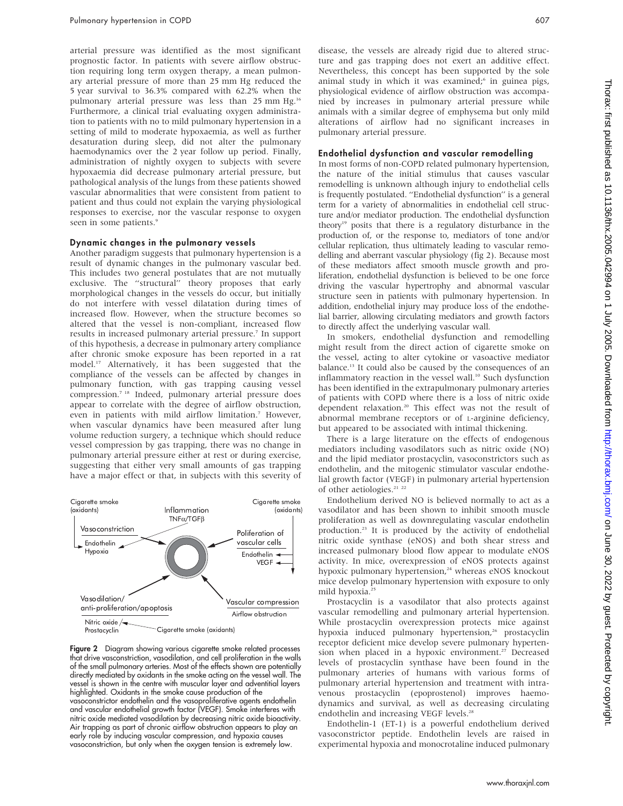arterial pressure was identified as the most significant prognostic factor. In patients with severe airflow obstruction requiring long term oxygen therapy, a mean pulmonary arterial pressure of more than 25 mm Hg reduced the 5 year survival to 36.3% compared with 62.2% when the pulmonary arterial pressure was less than 25 mm Hg.<sup>16</sup> Furthermore, a clinical trial evaluating oxygen administration to patients with no to mild pulmonary hypertension in a setting of mild to moderate hypoxaemia, as well as further desaturation during sleep, did not alter the pulmonary haemodynamics over the 2 year follow up period. Finally, administration of nightly oxygen to subjects with severe hypoxaemia did decrease pulmonary arterial pressure, but pathological analysis of the lungs from these patients showed vascular abnormalities that were consistent from patient to patient and thus could not explain the varying physiological responses to exercise, nor the vascular response to oxygen seen in some patients.<sup>9</sup>

#### Dynamic changes in the pulmonary vessels

Another paradigm suggests that pulmonary hypertension is a result of dynamic changes in the pulmonary vascular bed. This includes two general postulates that are not mutually exclusive. The ''structural'' theory proposes that early morphological changes in the vessels do occur, but initially do not interfere with vessel dilatation during times of increased flow. However, when the structure becomes so altered that the vessel is non-compliant, increased flow results in increased pulmonary arterial pressure.7 In support of this hypothesis, a decrease in pulmonary artery compliance after chronic smoke exposure has been reported in a rat model.17 Alternatively, it has been suggested that the compliance of the vessels can be affected by changes in pulmonary function, with gas trapping causing vessel compression.7 18 Indeed, pulmonary arterial pressure does appear to correlate with the degree of airflow obstruction, even in patients with mild airflow limitation.<sup>7</sup> However, when vascular dynamics have been measured after lung volume reduction surgery, a technique which should reduce vessel compression by gas trapping, there was no change in pulmonary arterial pressure either at rest or during exercise, suggesting that either very small amounts of gas trapping have a major effect or that, in subjects with this severity of



Figure 2 Diagram showing various cigarette smoke related processes that drive vasconstriction, vasodilation, and cell proliferation in the walls of the small pulmonary arteries. Most of the effects shown are potentially directly mediated by oxidants in the smoke acting on the vessel wall. The vessel is shown in the centre with muscular layer and adventitial layers highlighted. Oxidants in the smoke cause production of the vasoconstrictor endothelin and the vasoproliferative agents endothelin and vascular endothelial growth factor (VEGF). Smoke interferes with nitric oxide mediated vasodilation by decreasing nitric oxide bioactivity. Air trapping as part of chronic airflow obstruction appears to play an early role by inducing vascular compression, and hypoxia causes vasoconstriction, but only when the oxygen tension is extremely low.

disease, the vessels are already rigid due to altered structure and gas trapping does not exert an additive effect. Nevertheless, this concept has been supported by the sole animal study in which it was examined;<sup>6</sup> in guinea pigs, physiological evidence of airflow obstruction was accompanied by increases in pulmonary arterial pressure while animals with a similar degree of emphysema but only mild alterations of airflow had no significant increases in pulmonary arterial pressure. Endothelial dysfunction and vascular remodelling In most forms of non-COPD related pulmonary hypertension, the nature of the initial stimulus that causes vascular remodelling is unknown although injury to endothelial cells is frequently postulated. ''Endothelial dysfunction'' is a general

ture and/or mediator production. The endothelial dysfunction theory<sup>19</sup> posits that there is a regulatory disturbance in the production of, or the response to, mediators of tone and/or cellular replication, thus ultimately leading to vascular remodelling and aberrant vascular physiology (fig 2). Because most of these mediators affect smooth muscle growth and proliferation, endothelial dysfunction is believed to be one force driving the vascular hypertrophy and abnormal vascular structure seen in patients with pulmonary hypertension. In addition, endothelial injury may produce loss of the endothelial barrier, allowing circulating mediators and growth factors to directly affect the underlying vascular wall.

term for a variety of abnormalities in endothelial cell struc-

In smokers, endothelial dysfunction and remodelling might result from the direct action of cigarette smoke on the vessel, acting to alter cytokine or vasoactive mediator balance.13 It could also be caused by the consequences of an inflammatory reaction in the vessel wall.<sup>10</sup> Such dysfunction has been identified in the extrapulmonary pulmonary arteries of patients with COPD where there is a loss of nitric oxide dependent relaxation.<sup>20</sup> This effect was not the result of abnormal membrane receptors or of L-arginine deficiency, but appeared to be associated with intimal thickening.

There is a large literature on the effects of endogenous mediators including vasodilators such as nitric oxide (NO) and the lipid mediator prostacyclin, vasoconstrictors such as endothelin, and the mitogenic stimulator vascular endothelial growth factor (VEGF) in pulmonary arterial hypertension of other aetiologies.<sup>21</sup> <sup>22</sup>

Endothelium derived NO is believed normally to act as a vasodilator and has been shown to inhibit smooth muscle proliferation as well as downregulating vascular endothelin production.23 It is produced by the activity of endothelial nitric oxide synthase (eNOS) and both shear stress and increased pulmonary blood flow appear to modulate eNOS activity. In mice, overexpression of eNOS protects against hypoxic pulmonary hypertension,<sup>24</sup> whereas eNOS knockout mice develop pulmonary hypertension with exposure to only mild hypoxia.<sup>25</sup>

Prostacyclin is a vasodilator that also protects against vascular remodelling and pulmonary arterial hypertension. While prostacyclin overexpression protects mice against hypoxia induced pulmonary hypertension,<sup>26</sup> prostacyclin receptor deficient mice develop severe pulmonary hypertension when placed in a hypoxic environment.<sup>27</sup> Decreased levels of prostacyclin synthase have been found in the pulmonary arteries of humans with various forms of pulmonary arterial hypertension and treatment with intravenous prostacyclin (epoprostenol) improves haemodynamics and survival, as well as decreasing circulating endothelin and increasing VEGF levels.<sup>28</sup>

Endothelin-1 (ET-1) is a powerful endothelium derived vasoconstrictor peptide. Endothelin levels are raised in experimental hypoxia and monocrotaline induced pulmonary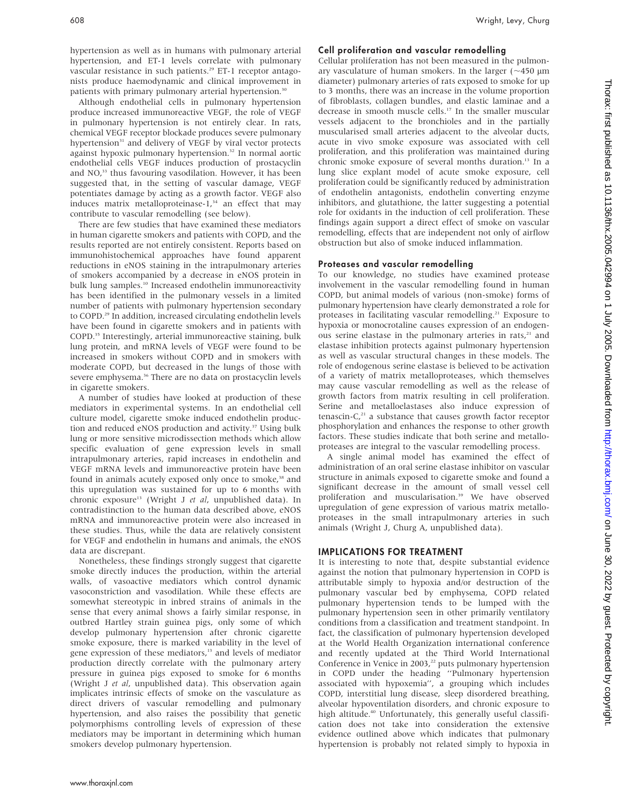hypertension as well as in humans with pulmonary arterial hypertension, and ET-1 levels correlate with pulmonary vascular resistance in such patients.<sup>29</sup> ET-1 receptor antagonists produce haemodynamic and clinical improvement in patients with primary pulmonary arterial hypertension.<sup>30</sup>

Although endothelial cells in pulmonary hypertension produce increased immunoreactive VEGF, the role of VEGF in pulmonary hypertension is not entirely clear. In rats, chemical VEGF receptor blockade produces severe pulmonary hypertension<sup>31</sup> and delivery of VEGF by viral vector protects against hypoxic pulmonary hypertension.<sup>32</sup> In normal aortic endothelial cells VEGF induces production of prostacyclin and NO,<sup>33</sup> thus favouring vasodilation. However, it has been suggested that, in the setting of vascular damage, VEGF potentiates damage by acting as a growth factor. VEGF also induces matrix metalloproteinase- $1,34$  an effect that may contribute to vascular remodelling (see below).

There are few studies that have examined these mediators in human cigarette smokers and patients with COPD, and the results reported are not entirely consistent. Reports based on immunohistochemical approaches have found apparent reductions in eNOS staining in the intrapulmonary arteries of smokers accompanied by a decrease in eNOS protein in bulk lung samples.<sup>10</sup> Increased endothelin immunoreactivity has been identified in the pulmonary vessels in a limited number of patients with pulmonary hypertension secondary to COPD.29 In addition, increased circulating endothelin levels have been found in cigarette smokers and in patients with COPD.35 Interestingly, arterial immunoreactive staining, bulk lung protein, and mRNA levels of VEGF were found to be increased in smokers without COPD and in smokers with moderate COPD, but decreased in the lungs of those with severe emphysema.<sup>36</sup> There are no data on prostacyclin levels in cigarette smokers.

A number of studies have looked at production of these mediators in experimental systems. In an endothelial cell culture model, cigarette smoke induced endothelin production and reduced eNOS production and activity.<sup>37</sup> Using bulk lung or more sensitive microdissection methods which allow specific evaluation of gene expression levels in small intrapulmonary arteries, rapid increases in endothelin and VEGF mRNA levels and immunoreactive protein have been found in animals acutely exposed only once to smoke,<sup>38</sup> and this upregulation was sustained for up to 6 months with chronic exposure<sup>13</sup> (Wright J et al, unpublished data). In contradistinction to the human data described above, eNOS mRNA and immunoreactive protein were also increased in these studies. Thus, while the data are relatively consistent for VEGF and endothelin in humans and animals, the eNOS data are discrepant.

Nonetheless, these findings strongly suggest that cigarette smoke directly induces the production, within the arterial walls, of vasoactive mediators which control dynamic vasoconstriction and vasodilation. While these effects are somewhat stereotypic in inbred strains of animals in the sense that every animal shows a fairly similar response, in outbred Hartley strain guinea pigs, only some of which develop pulmonary hypertension after chronic cigarette smoke exposure, there is marked variability in the level of gene expression of these mediators,<sup>13</sup> and levels of mediator production directly correlate with the pulmonary artery pressure in guinea pigs exposed to smoke for 6 months (Wright J et al, unpublished data). This observation again implicates intrinsic effects of smoke on the vasculature as direct drivers of vascular remodelling and pulmonary hypertension, and also raises the possibility that genetic polymorphisms controlling levels of expression of these mediators may be important in determining which human smokers develop pulmonary hypertension.

#### Cell proliferation and vascular remodelling

Cellular proliferation has not been measured in the pulmonary vasculature of human smokers. In the larger ( $\sim$ 450 µm diameter) pulmonary arteries of rats exposed to smoke for up to 3 months, there was an increase in the volume proportion of fibroblasts, collagen bundles, and elastic laminae and a decrease in smooth muscle cells.17 In the smaller muscular vessels adjacent to the bronchioles and in the partially muscularised small arteries adjacent to the alveolar ducts, acute in vivo smoke exposure was associated with cell proliferation, and this proliferation was maintained during chronic smoke exposure of several months duration.<sup>13</sup> In a lung slice explant model of acute smoke exposure, cell proliferation could be significantly reduced by administration of endothelin antagonists, endothelin converting enzyme inhibitors, and glutathione, the latter suggesting a potential role for oxidants in the induction of cell proliferation. These findings again support a direct effect of smoke on vascular remodelling, effects that are independent not only of airflow obstruction but also of smoke induced inflammation.

#### Proteases and vascular remodelling

To our knowledge, no studies have examined protease involvement in the vascular remodelling found in human COPD, but animal models of various (non-smoke) forms of pulmonary hypertension have clearly demonstrated a role for proteases in facilitating vascular remodelling.<sup>21</sup> Exposure to hypoxia or monocrotaline causes expression of an endogenous serine elastase in the pulmonary arteries in rats,<sup>21</sup> and elastase inhibition protects against pulmonary hypertension as well as vascular structural changes in these models. The role of endogenous serine elastase is believed to be activation of a variety of matrix metalloproteases, which themselves may cause vascular remodelling as well as the release of growth factors from matrix resulting in cell proliferation. Serine and metalloelastases also induce expression of tenascin- $C<sub>1</sub><sup>21</sup>$  a substance that causes growth factor receptor phosphorylation and enhances the response to other growth factors. These studies indicate that both serine and metalloproteases are integral to the vascular remodelling process.

A single animal model has examined the effect of administration of an oral serine elastase inhibitor on vascular structure in animals exposed to cigarette smoke and found a significant decrease in the amount of small vessel cell proliferation and muscularisation.<sup>39</sup> We have observed upregulation of gene expression of various matrix metalloproteases in the small intrapulmonary arteries in such animals (Wright J, Churg A, unpublished data).

#### IMPLICATIONS FOR TREATMENT

It is interesting to note that, despite substantial evidence against the notion that pulmonary hypertension in COPD is attributable simply to hypoxia and/or destruction of the pulmonary vascular bed by emphysema, COPD related pulmonary hypertension tends to be lumped with the pulmonary hypertension seen in other primarily ventilatory conditions from a classification and treatment standpoint. In fact, the classification of pulmonary hypertension developed at the World Health Organization international conference and recently updated at the Third World International Conference in Venice in  $2003<sup>22</sup>$  puts pulmonary hypertension in COPD under the heading ''Pulmonary hypertension associated with hypoxemia'', a grouping which includes COPD, interstitial lung disease, sleep disordered breathing, alveolar hypoventilation disorders, and chronic exposure to high altitude.<sup>40</sup> Unfortunately, this generally useful classification does not take into consideration the extensive evidence outlined above which indicates that pulmonary hypertension is probably not related simply to hypoxia in